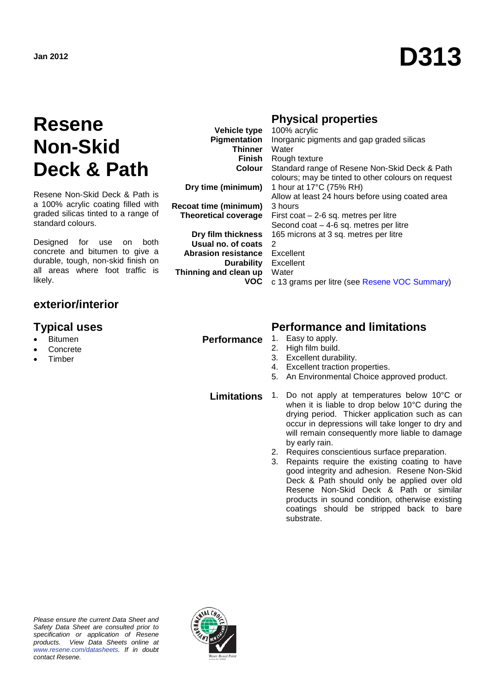# **Jan 2012 D313**

### **Resene Non-Skid Deck & Path**

Resene Non-Skid Deck & Path is a 100% acrylic coating filled with graded silicas tinted to a range of standard colours.

Designed for use on both concrete and bitumen to give a durable, tough, non-skid finish on all areas where foot traffic is likely.

### **exterior/interior**

- **Bitumen**
- **Concrete**
- **Timber**

**Vehicle type Pigmentation Thinner Finish Colour**

**Dry time (minimum)**

**Recoat time (minimum) Theoretical coverage**

**Dry film thickness Usual no. of coats Abrasion resistance Durability Thinning and clean up VOC**

#### **Physical properties**

100% acrylic Inorganic pigments and gap graded silicas Water Rough texture Standard range of Resene Non-Skid Deck & Path colours; may be tinted to other colours on request 1 hour at 17°C (75% RH) Allow at least 24 hours before using coated area 3 hours First coat – 2-6 sq. metres per litre Second coat – 4-6 sq. metres per litre 165 microns at 3 sq. metres per litre  $\mathfrak{D}$ Excellent Excellent **Water** c 13 grams per litre (see [Resene VOC Summary\)](http://www.resene.co.nz/archspec/datashts/vocsummary.pdf)

#### **Typical uses Performance and limitations**

- **Performance** 1. Easy to apply.
	- 2. High film build.
	- 3. Excellent durability.
	- 4. Excellent traction properties.
	- 5. An Environmental Choice approved product.

**Limitations** 1. Do not apply at temperatures below 10°C or when it is liable to drop below 10°C during the drying period. Thicker application such as can occur in depressions will take longer to dry and will remain consequently more liable to damage by early rain.

- 2. Requires conscientious surface preparation.
- 3. Repaints require the existing coating to have good integrity and adhesion. Resene Non-Skid Deck & Path should only be applied over old Resene Non-Skid Deck & Path or similar products in sound condition, otherwise existing coatings should be stripped back to bare substrate.